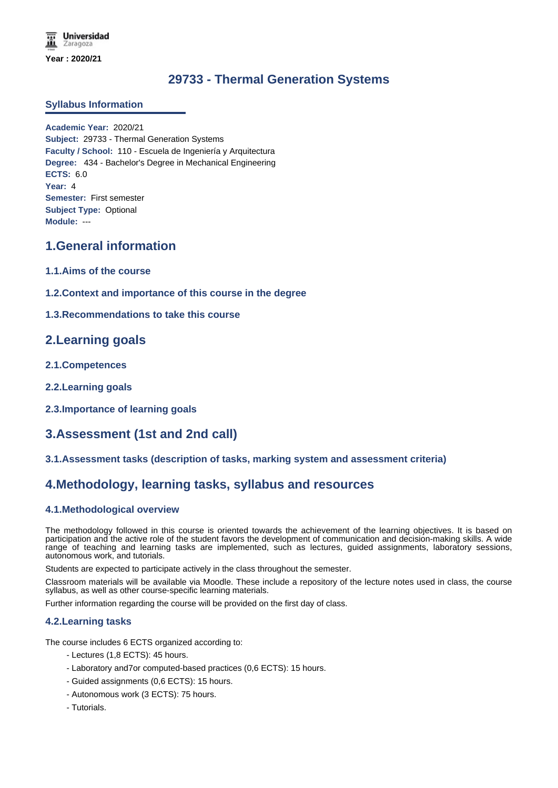**Universidad** Zaragoza **Year : 2020/21**

# **29733 - Thermal Generation Systems**

### **Syllabus Information**

**Academic Year:** 2020/21 **Subject:** 29733 - Thermal Generation Systems **Faculty / School:** 110 - Escuela de Ingeniería y Arquitectura **Degree:** 434 - Bachelor's Degree in Mechanical Engineering **ECTS:** 6.0 **Year:** 4 **Semester:** First semester **Subject Type:** Optional **Module:** ---

# **1.General information**

- **1.1.Aims of the course**
- **1.2.Context and importance of this course in the degree**
- **1.3.Recommendations to take this course**

## **2.Learning goals**

- **2.1.Competences**
- **2.2.Learning goals**
- **2.3.Importance of learning goals**

# **3.Assessment (1st and 2nd call)**

**3.1.Assessment tasks (description of tasks, marking system and assessment criteria)**

## **4.Methodology, learning tasks, syllabus and resources**

### **4.1.Methodological overview**

The methodology followed in this course is oriented towards the achievement of the learning objectives. It is based on participation and the active role of the student favors the development of communication and decision-making skills. A wide range of teaching and learning tasks are implemented, such as lectures, guided assignments, laboratory sessions, autonomous work, and tutorials.

Students are expected to participate actively in the class throughout the semester.

Classroom materials will be available via Moodle. These include a repository of the lecture notes used in class, the course syllabus, as well as other course-specific learning materials.

Further information regarding the course will be provided on the first day of class.

### **4.2.Learning tasks**

The course includes 6 ECTS organized according to:

- Lectures (1,8 ECTS): 45 hours.
- Laboratory and7or computed-based practices (0,6 ECTS): 15 hours.
- Guided assignments (0,6 ECTS): 15 hours.
- Autonomous work (3 ECTS): 75 hours.
- Tutorials.